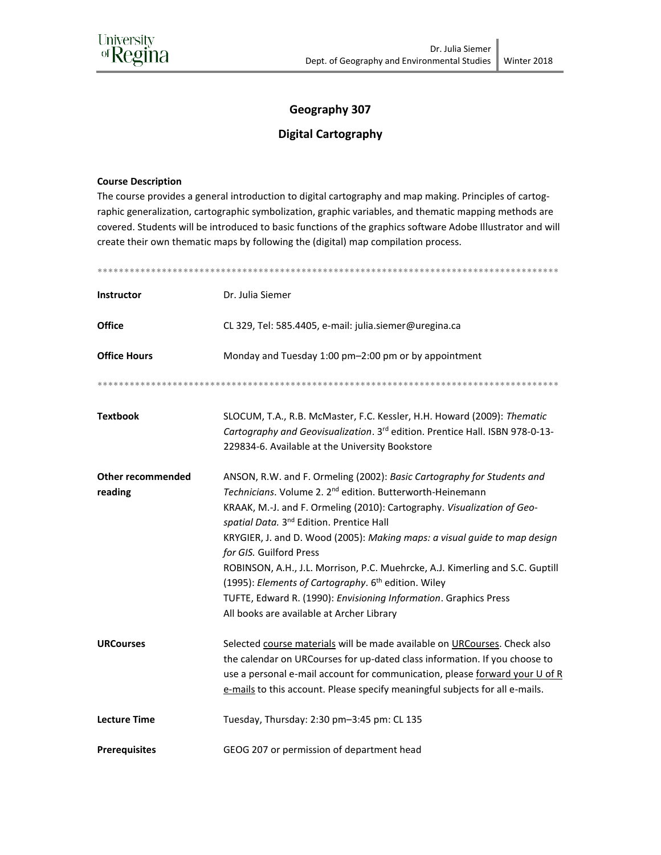## Geography 307

## **Digital Cartography**

## **Course Description**

The course provides a general introduction to digital cartography and map making. Principles of cartographic generalization, cartographic symbolization, graphic variables, and thematic mapping methods are covered. Students will be introduced to basic functions of the graphics software Adobe Illustrator and will create their own thematic maps by following the (digital) map compilation process.

| <b>Instructor</b>                   | Dr. Julia Siemer                                                                                                                                                                                                                                                                                                                                                                                                                                                                                                                                                                                                                                                |  |  |  |
|-------------------------------------|-----------------------------------------------------------------------------------------------------------------------------------------------------------------------------------------------------------------------------------------------------------------------------------------------------------------------------------------------------------------------------------------------------------------------------------------------------------------------------------------------------------------------------------------------------------------------------------------------------------------------------------------------------------------|--|--|--|
| <b>Office</b>                       | CL 329, Tel: 585.4405, e-mail: julia.siemer@uregina.ca                                                                                                                                                                                                                                                                                                                                                                                                                                                                                                                                                                                                          |  |  |  |
| <b>Office Hours</b>                 | Monday and Tuesday 1:00 pm-2:00 pm or by appointment                                                                                                                                                                                                                                                                                                                                                                                                                                                                                                                                                                                                            |  |  |  |
|                                     |                                                                                                                                                                                                                                                                                                                                                                                                                                                                                                                                                                                                                                                                 |  |  |  |
| <b>Textbook</b>                     | SLOCUM, T.A., R.B. McMaster, F.C. Kessler, H.H. Howard (2009): Thematic<br>Cartography and Geovisualization. 3rd edition. Prentice Hall. ISBN 978-0-13-<br>229834-6. Available at the University Bookstore                                                                                                                                                                                                                                                                                                                                                                                                                                                      |  |  |  |
| <b>Other recommended</b><br>reading | ANSON, R.W. and F. Ormeling (2002): Basic Cartography for Students and<br>Technicians. Volume 2. 2 <sup>nd</sup> edition. Butterworth-Heinemann<br>KRAAK, M.-J. and F. Ormeling (2010): Cartography. Visualization of Geo-<br>spatial Data. 3 <sup>nd</sup> Edition. Prentice Hall<br>KRYGIER, J. and D. Wood (2005): Making maps: a visual guide to map design<br>for GIS. Guilford Press<br>ROBINSON, A.H., J.L. Morrison, P.C. Muehrcke, A.J. Kimerling and S.C. Guptill<br>(1995): Elements of Cartography. 6 <sup>th</sup> edition. Wiley<br>TUFTE, Edward R. (1990): Envisioning Information. Graphics Press<br>All books are available at Archer Library |  |  |  |
| <b>URCourses</b>                    | Selected course materials will be made available on URCourses. Check also<br>the calendar on URCourses for up-dated class information. If you choose to<br>use a personal e-mail account for communication, please forward your U of R<br>e-mails to this account. Please specify meaningful subjects for all e-mails.                                                                                                                                                                                                                                                                                                                                          |  |  |  |
| <b>Lecture Time</b>                 | Tuesday, Thursday: 2:30 pm-3:45 pm: CL 135                                                                                                                                                                                                                                                                                                                                                                                                                                                                                                                                                                                                                      |  |  |  |
| <b>Prerequisites</b>                | GEOG 207 or permission of department head                                                                                                                                                                                                                                                                                                                                                                                                                                                                                                                                                                                                                       |  |  |  |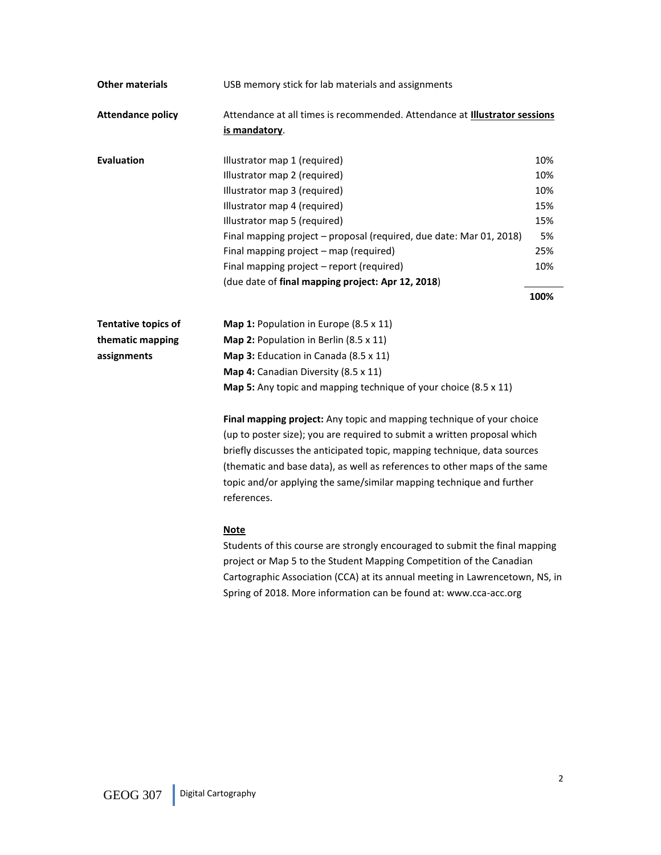| <b>Other materials</b>     | USB memory stick for lab materials and assignments                                                                                                                                                                                                                                                                                                                                                |      |  |
|----------------------------|---------------------------------------------------------------------------------------------------------------------------------------------------------------------------------------------------------------------------------------------------------------------------------------------------------------------------------------------------------------------------------------------------|------|--|
| <b>Attendance policy</b>   | Attendance at all times is recommended. Attendance at Illustrator sessions<br>is mandatory.                                                                                                                                                                                                                                                                                                       |      |  |
| <b>Evaluation</b>          | Illustrator map 1 (required)                                                                                                                                                                                                                                                                                                                                                                      | 10%  |  |
|                            | Illustrator map 2 (required)                                                                                                                                                                                                                                                                                                                                                                      | 10%  |  |
|                            | Illustrator map 3 (required)                                                                                                                                                                                                                                                                                                                                                                      | 10%  |  |
|                            | Illustrator map 4 (required)                                                                                                                                                                                                                                                                                                                                                                      | 15%  |  |
|                            | Illustrator map 5 (required)                                                                                                                                                                                                                                                                                                                                                                      | 15%  |  |
|                            | Final mapping project - proposal (required, due date: Mar 01, 2018)                                                                                                                                                                                                                                                                                                                               | 5%   |  |
|                            | Final mapping project - map (required)                                                                                                                                                                                                                                                                                                                                                            | 25%  |  |
|                            | Final mapping project - report (required)                                                                                                                                                                                                                                                                                                                                                         | 10%  |  |
|                            | (due date of final mapping project: Apr 12, 2018)                                                                                                                                                                                                                                                                                                                                                 |      |  |
|                            |                                                                                                                                                                                                                                                                                                                                                                                                   | 100% |  |
| <b>Tentative topics of</b> | Map 1: Population in Europe (8.5 x 11)                                                                                                                                                                                                                                                                                                                                                            |      |  |
| thematic mapping           | Map 2: Population in Berlin (8.5 x 11)                                                                                                                                                                                                                                                                                                                                                            |      |  |
| assignments                | Map 3: Education in Canada (8.5 x 11)                                                                                                                                                                                                                                                                                                                                                             |      |  |
|                            | Map 4: Canadian Diversity (8.5 x 11)                                                                                                                                                                                                                                                                                                                                                              |      |  |
|                            | Map 5: Any topic and mapping technique of your choice (8.5 x 11)                                                                                                                                                                                                                                                                                                                                  |      |  |
|                            | Final mapping project: Any topic and mapping technique of your choice<br>(up to poster size); you are required to submit a written proposal which<br>briefly discusses the anticipated topic, mapping technique, data sources<br>(thematic and base data), as well as references to other maps of the same<br>topic and/or applying the same/similar mapping technique and further<br>references. |      |  |
|                            | <b>Note</b><br>Students of this course are strongly encouraged to submit the final mapping<br>project or Map 5 to the Student Mapping Competition of the Canadian<br>Cartographic Association (CCA) at its annual meeting in Lawrencetown, NS, in                                                                                                                                                 |      |  |

Spring of 2018. More information can be found at: www.cca-acc.org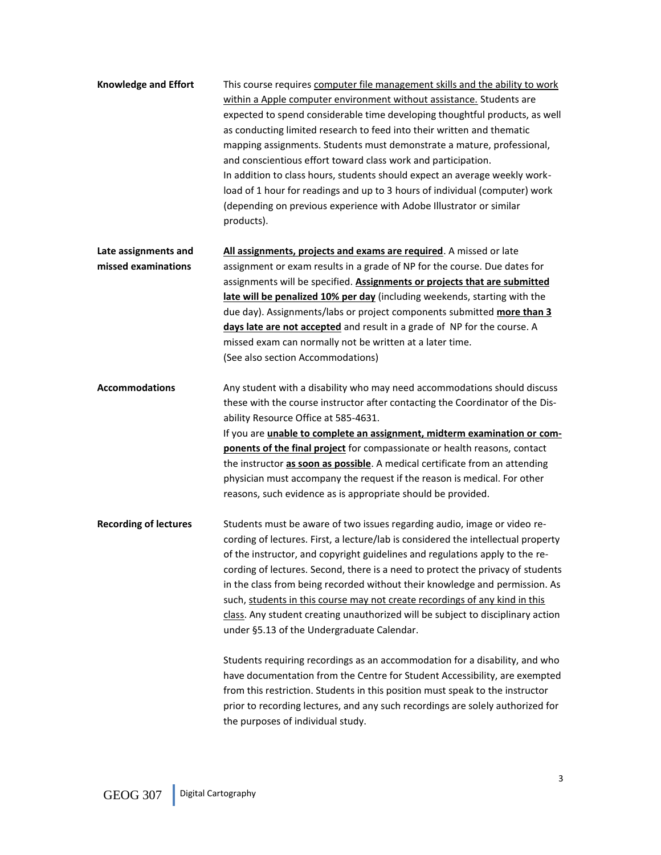| <b>Knowledge and Effort</b>                 | This course requires computer file management skills and the ability to work<br>within a Apple computer environment without assistance. Students are<br>expected to spend considerable time developing thoughtful products, as well<br>as conducting limited research to feed into their written and thematic<br>mapping assignments. Students must demonstrate a mature, professional,<br>and conscientious effort toward class work and participation.<br>In addition to class hours, students should expect an average weekly work-<br>load of 1 hour for readings and up to 3 hours of individual (computer) work<br>(depending on previous experience with Adobe Illustrator or similar<br>products).                                                                                  |
|---------------------------------------------|---------------------------------------------------------------------------------------------------------------------------------------------------------------------------------------------------------------------------------------------------------------------------------------------------------------------------------------------------------------------------------------------------------------------------------------------------------------------------------------------------------------------------------------------------------------------------------------------------------------------------------------------------------------------------------------------------------------------------------------------------------------------------------------------|
| Late assignments and<br>missed examinations | All assignments, projects and exams are required. A missed or late<br>assignment or exam results in a grade of NP for the course. Due dates for<br>assignments will be specified. Assignments or projects that are submitted<br>late will be penalized 10% per day (including weekends, starting with the<br>due day). Assignments/labs or project components submitted more than 3<br>days late are not accepted and result in a grade of NP for the course. A<br>missed exam can normally not be written at a later time.<br>(See also section Accommodations)                                                                                                                                                                                                                            |
| <b>Accommodations</b>                       | Any student with a disability who may need accommodations should discuss<br>these with the course instructor after contacting the Coordinator of the Dis-<br>ability Resource Office at 585-4631.<br>If you are unable to complete an assignment, midterm examination or com-<br>ponents of the final project for compassionate or health reasons, contact<br>the instructor as soon as possible. A medical certificate from an attending<br>physician must accompany the request if the reason is medical. For other<br>reasons, such evidence as is appropriate should be provided.                                                                                                                                                                                                       |
| <b>Recording of lectures</b>                | Students must be aware of two issues regarding audio, image or video re-<br>cording of lectures. First, a lecture/lab is considered the intellectual property<br>of the instructor, and copyright guidelines and regulations apply to the re-<br>cording of lectures. Second, there is a need to protect the privacy of students<br>in the class from being recorded without their knowledge and permission. As<br>such, students in this course may not create recordings of any kind in this<br>class. Any student creating unauthorized will be subject to disciplinary action<br>under §5.13 of the Undergraduate Calendar.<br>Students requiring recordings as an accommodation for a disability, and who<br>have documentation from the Centre for Student Accessibility are exempted |

have documentation from the Centre for Student Accessibility, are exempted from this restriction. Students in this position must speak to the instructor prior to recording lectures, and any such recordings are solely authorized for the purposes of individual study.